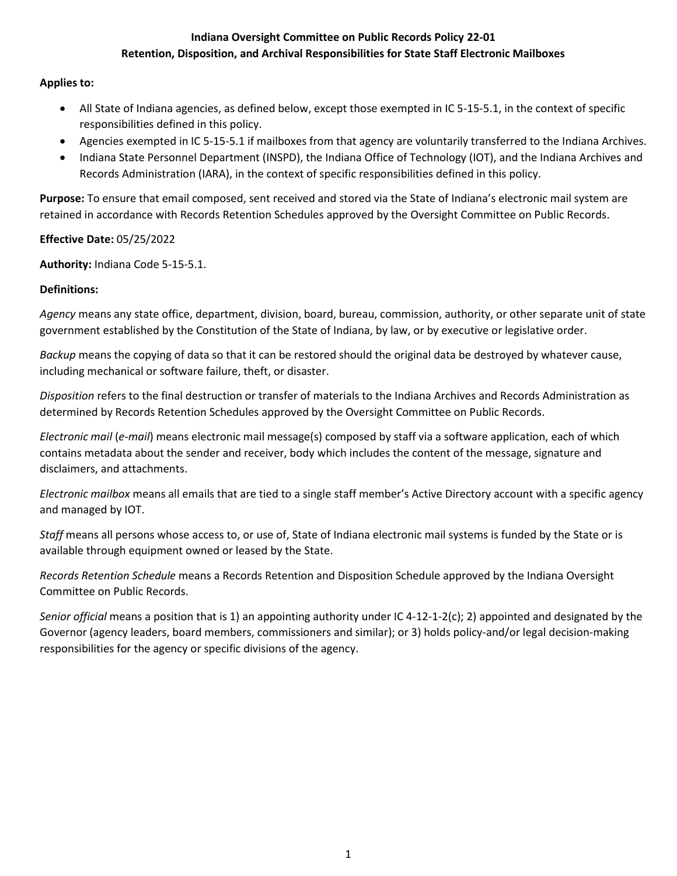## **Indiana Oversight Committee on Public Records Policy 22-01 Retention, Disposition, and Archival Responsibilities for State Staff Electronic Mailboxes**

# **Applies to:**

- All State of Indiana agencies, as defined below, except those exempted in IC 5-15-5.1, in the context of specific responsibilities defined in this policy.
- Agencies exempted in IC 5-15-5.1 if mailboxes from that agency are voluntarily transferred to the Indiana Archives.
- Indiana State Personnel Department (INSPD), the Indiana Office of Technology (IOT), and the Indiana Archives and Records Administration (IARA), in the context of specific responsibilities defined in this policy.

**Purpose:** To ensure that email composed, sent received and stored via the State of Indiana's electronic mail system are retained in accordance with Records Retention Schedules approved by the Oversight Committee on Public Records.

**Effective Date:** 05/25/2022

**Authority:** Indiana Code 5-15-5.1.

# **Definitions:**

*Agency* means any state office, department, division, board, bureau, commission, authority, or other separate unit of state government established by the Constitution of the State of Indiana, by law, or by executive or legislative order.

*Backup* means the copying of data so that it can be restored should the original data be destroyed by whatever cause, including mechanical or software failure, theft, or disaster.

*Disposition* refers to the final destruction or transfer of materials to the Indiana Archives and Records Administration as determined by Records Retention Schedules approved by the Oversight Committee on Public Records.

*Electronic mail* (*e-mail*) means electronic mail message(s) composed by staff via a software application, each of which contains metadata about the sender and receiver, body which includes the content of the message, signature and disclaimers, and attachments.

*Electronic mailbox* means all emails that are tied to a single staff member's Active Directory account with a specific agency and managed by IOT.

*Staff* means all persons whose access to, or use of, State of Indiana electronic mail systems is funded by the State or is available through equipment owned or leased by the State.

*Records Retention Schedule* means a Records Retention and Disposition Schedule approved by the Indiana Oversight Committee on Public Records.

*Senior official* means a position that is 1) an appointing authority under IC 4-12-1-2(c); 2) appointed and designated by the Governor (agency leaders, board members, commissioners and similar); or 3) holds policy-and/or legal decision-making responsibilities for the agency or specific divisions of the agency.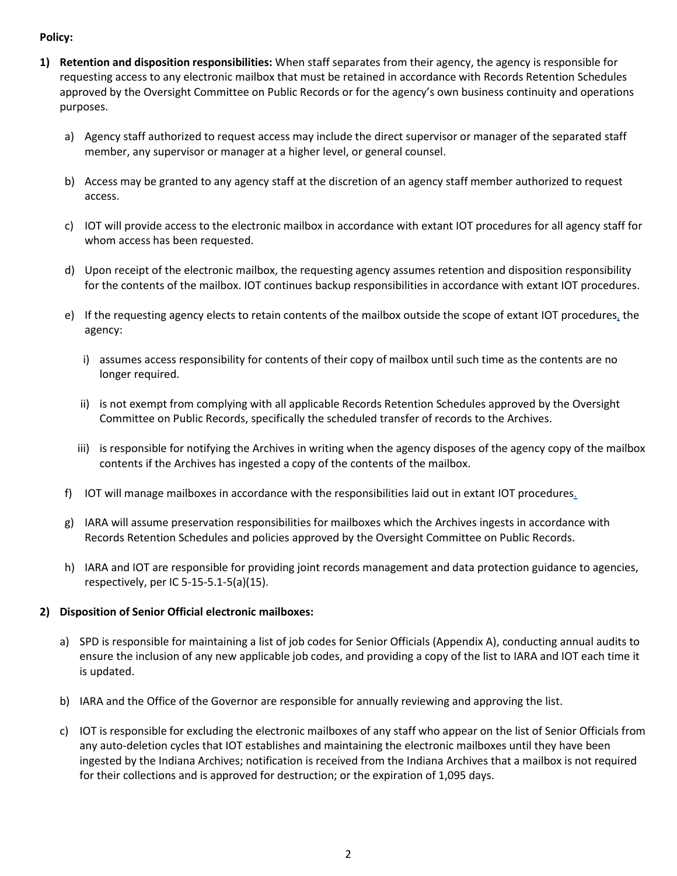# **Policy:**

- **1) Retention and disposition responsibilities:** When staff separates from their agency, the agency is responsible for requesting access to any electronic mailbox that must be retained in accordance with Records Retention Schedules approved by the Oversight Committee on Public Records or for the agency's own business continuity and operations purposes.
	- a) Agency staff authorized to request access may include the direct supervisor or manager of the separated staff member, any supervisor or manager at a higher level, or general counsel.
	- b) Access may be granted to any agency staff at the discretion of an agency staff member authorized to request access.
	- c) IOT will provide access to the electronic mailbox in accordance with extant IOT procedures for all agency staff for whom access has been requested.
	- d) Upon receipt of the electronic mailbox, the requesting agency assumes retention and disposition responsibility for the contents of the mailbox. IOT continues backup responsibilities in accordance with extant IOT procedures.
	- e) If the requesting agency elects to retain contents of the mailbox outside the scope of extant IOT procedure[s,](https://grc.iot.in.gov/RSAarcher/default.aspx?requestUrl=..%2fGenericContent%2fRecord.aspx%3fid%3d605453%26moduleId%3d66) the agency:
		- i) assumes access responsibility for contents of their copy of mailbox until such time as the contents are no longer required.
		- ii) is not exempt from complying with all applicable Records Retention Schedules approved by the Oversight Committee on Public Records, specifically the scheduled transfer of records to the Archives.
		- iii) is responsible for notifying the Archives in writing when the agency disposes of the agency copy of the mailbox contents if the Archives has ingested a copy of the contents of the mailbox.
	- f) IOT will manage mailboxes in accordance with the responsibilities laid out in extant IOT procedure[s.](https://grc.iot.in.gov/RSAarcher/default.aspx?requestUrl=..%2fGenericContent%2fRecord.aspx%3fid%3d605453%26moduleId%3d66)
	- g) IARA will assume preservation responsibilities for mailboxes which the Archives ingests in accordance with Records Retention Schedules and policies approved by the Oversight Committee on Public Records.
	- h) IARA and IOT are responsible for providing joint records management and data protection guidance to agencies, respectively, per IC 5-15-5.1-5(a)(15).

## **2) Disposition of Senior Official electronic mailboxes:**

- a) SPD is responsible for maintaining a list of job codes for Senior Officials (Appendix A), conducting annual audits to ensure the inclusion of any new applicable job codes, and providing a copy of the list to IARA and IOT each time it is updated.
- b) IARA and the Office of the Governor are responsible for annually reviewing and approving the list.
- c) IOT is responsible for excluding the electronic mailboxes of any staff who appear on the list of Senior Officials from any auto-deletion cycles that IOT establishes and maintaining the electronic mailboxes until they have been ingested by the Indiana Archives; notification is received from the Indiana Archives that a mailbox is not required for their collections and is approved for destruction; or the expiration of 1,095 days.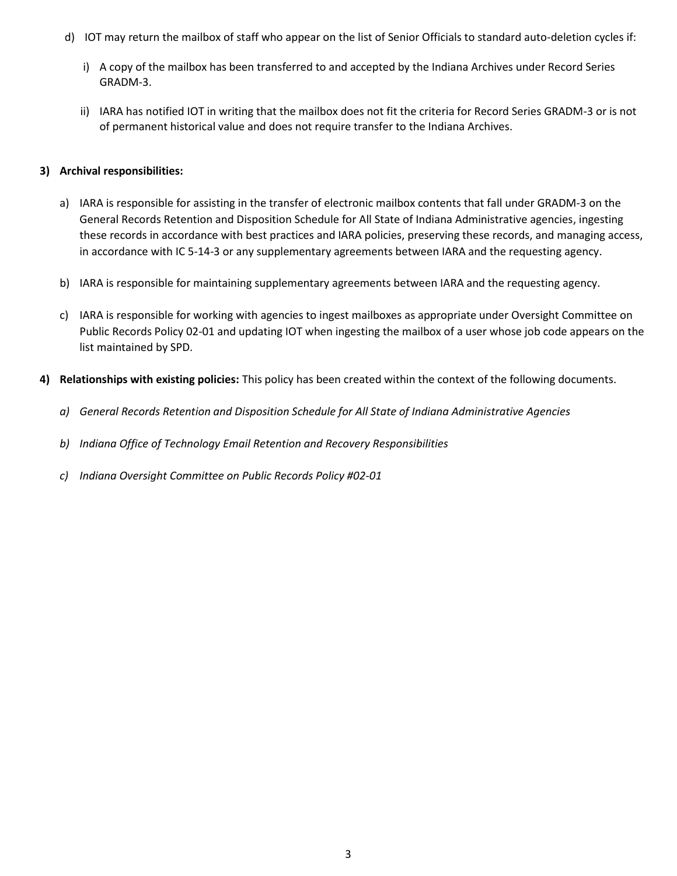- d) IOT may return the mailbox of staff who appear on the list of Senior Officials to standard auto-deletion cycles if:
	- i) A copy of the mailbox has been transferred to and accepted by the Indiana Archives under Record Series GRADM-3.
	- ii) IARA has notified IOT in writing that the mailbox does not fit the criteria for Record Series GRADM-3 or is not of permanent historical value and does not require transfer to the Indiana Archives.

### **3) Archival responsibilities:**

- a) IARA is responsible for assisting in the transfer of electronic mailbox contents that fall under GRADM-3 on the General Records Retention and Disposition Schedule for All State of Indiana Administrative agencies, ingesting these records in accordance with best practices and IARA policies, preserving these records, and managing access, in accordance with IC 5-14-3 or any supplementary agreements between IARA and the requesting agency.
- b) IARA is responsible for maintaining supplementary agreements between IARA and the requesting agency.
- c) IARA is responsible for working with agencies to ingest mailboxes as appropriate under Oversight Committee on Public Records Policy 02-01 and updating IOT when ingesting the mailbox of a user whose job code appears on the list maintained by SPD.
- **4) Relationships with existing policies:** This policy has been created within the context of the following documents.
	- *a) General Records Retention and Disposition Schedule for All State of Indiana Administrative Agencies*
	- *b) Indiana Office of Technology Email Retention and Recovery Responsibilities*
	- *c) Indiana Oversight Committee on Public Records Policy #02-01*